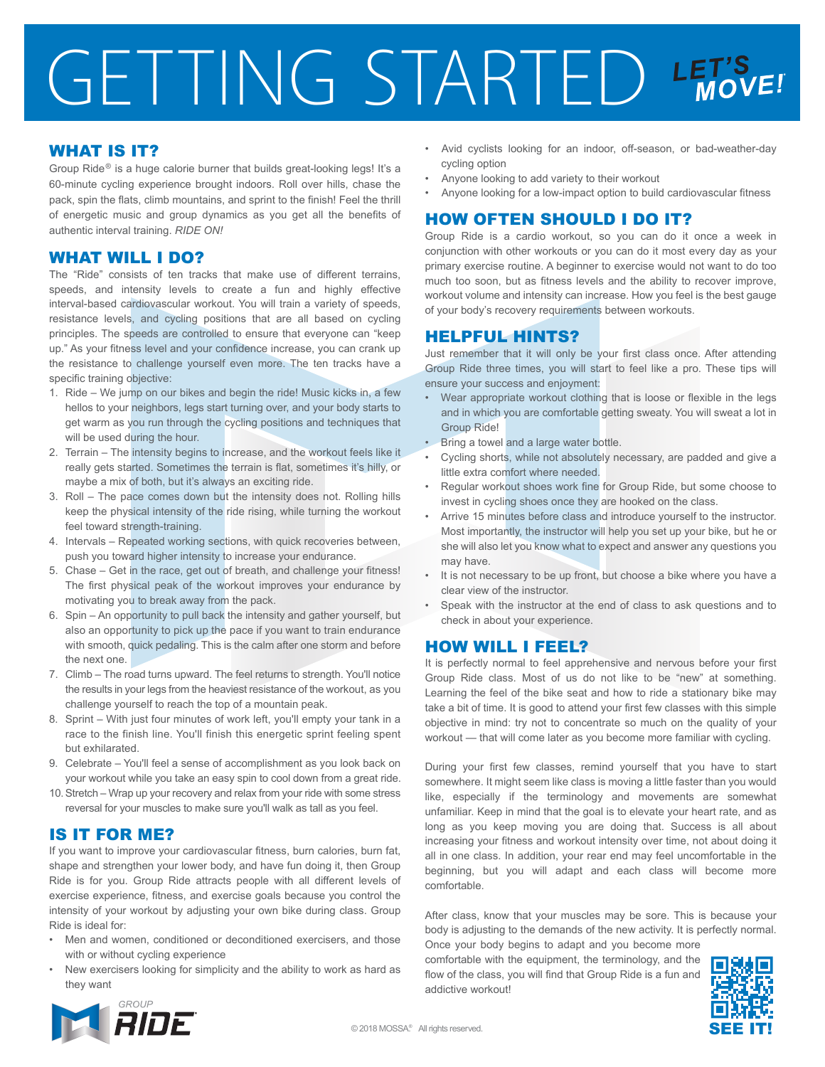# GETTING STARTED LET'S

### WHAT IS IT?

Group Ride<sup>®</sup> is a huge calorie burner that builds great-looking legs! It's a 60-minute cycling experience brought indoors. Roll over hills, chase the pack, spin the flats, climb mountains, and sprint to the finish! Feel the thrill of energetic music and group dynamics as you get all the benefits of authentic interval training. *RIDE ON!*

### WHAT WILL I DO?

The "Ride" consists of ten tracks that make use of different terrains, speeds, and intensity levels to create a fun and highly effective interval-based cardiovascular workout. You will train a variety of speeds, resistance levels, and cycling positions that are all based on cycling principles. The speeds are controlled to ensure that everyone can "keep up." As your fitness level and your confidence increase, you can crank up the resistance to challenge yourself even more. The ten tracks have a specific training objective:

- 1. Ride We jump on our bikes and begin the ride! Music kicks in, a few hellos to your neighbors, legs start turning over, and your body starts to get warm as you run through the cycling positions and techniques that will be used during the hour.
- 2. Terrain The intensity begins to increase, and the workout feels like it really gets started. Sometimes the terrain is flat, sometimes it's hilly, or maybe a mix of both, but it's always an exciting ride.
- 3. Roll The pace comes down but the intensity does not. Rolling hills keep the physical intensity of the ride rising, while turning the workout feel toward strength-training.
- 4. Intervals Repeated working sections, with quick recoveries between, push you toward higher intensity to increase your endurance.
- 5. Chase Get in the race, get out of breath, and challenge your fitness! The first physical peak of the workout improves your endurance by motivating you to break away from the pack.
- 6. Spin An opportunity to pull back the intensity and gather yourself, but also an opportunity to pick up the pace if you want to train endurance with smooth, quick pedaling. This is the calm after one storm and before the next one.
- 7. Climb The road turns upward. The feel returns to strength. You'll notice the results in your legs from the heaviest resistance of the workout, as you challenge yourself to reach the top of a mountain peak.
- 8. Sprint With just four minutes of work left, you'll empty your tank in a race to the finish line. You'll finish this energetic sprint feeling spent but exhilarated.
- 9. Celebrate You'll feel a sense of accomplishment as you look back on your workout while you take an easy spin to cool down from a great ride.
- 10. Stretch Wrap up your recovery and relax from your ride with some stress reversal for your muscles to make sure you'll walk as tall as you feel.

# IS IT FOR ME?

If you want to improve your cardiovascular fitness, burn calories, burn fat, shape and strengthen your lower body, and have fun doing it, then Group Ride is for you. Group Ride attracts people with all different levels of exercise experience, fitness, and exercise goals because you control the intensity of your workout by adjusting your own bike during class. Group Ride is ideal for:

- Men and women, conditioned or deconditioned exercisers, and those with or without cycling experience
- New exercisers looking for simplicity and the ability to work as hard as they want
- Avid cyclists looking for an indoor, off-season, or bad-weather-day cycling option
- Anyone looking to add variety to their workout
- Anyone looking for a low-impact option to build cardiovascular fitness

# HOW OFTEN SHOULD I DO IT?

Group Ride is a cardio workout, so you can do it once a week in conjunction with other workouts or you can do it most every day as your primary exercise routine. A beginner to exercise would not want to do too much too soon, but as fitness levels and the ability to recover improve, workout volume and intensity can increase. How you feel is the best gauge of your body's recovery requirements between workouts.

### HELPFUL HINTS?

Just remember that it will only be your first class once. After attending Group Ride three times, you will start to feel like a pro. These tips will ensure your success and enjoyment:

- Wear appropriate workout clothing that is loose or flexible in the legs and in which you are comfortable getting sweaty. You will sweat a lot in Group Ride!
- Bring a towel and a large water bottle.
- Cycling shorts, while not absolutely necessary, are padded and give a little extra comfort where needed.
- Regular workout shoes work fine for Group Ride, but some choose to invest in cycling shoes once they are hooked on the class.
- Arrive 15 minutes before class and introduce yourself to the instructor. Most importantly, the instructor will help you set up your bike, but he or she will also let you know what to expect and answer any questions you may have.
- It is not necessary to be up front, but choose a bike where you have a clear view of the instructor.
- Speak with the instructor at the end of class to ask questions and to check in about your experience.

# HOW WILL I FEEL?

It is perfectly normal to feel apprehensive and nervous before your first Group Ride class. Most of us do not like to be "new" at something. Learning the feel of the bike seat and how to ride a stationary bike may take a bit of time. It is good to attend your first few classes with this simple objective in mind: try not to concentrate so much on the quality of your workout — that will come later as you become more familiar with cycling.

During your first few classes, remind yourself that you have to start somewhere. It might seem like class is moving a little faster than you would like, especially if the terminology and movements are somewhat unfamiliar. Keep in mind that the goal is to elevate your heart rate, and as long as you keep moving you are doing that. Success is all about increasing your fitness and workout intensity over time, not about doing it all in one class. In addition, your rear end may feel uncomfortable in the beginning, but you will adapt and each class will become more comfortable.

After class, know that your muscles may be sore. This is because your body is adjusting to the demands of the new activity. It is perfectly normal. Once your body begins to adapt and you become more

comfortable with the equipment, the terminology, and the flow of the class, you will find that Group Ride is a fun and addictive workout!